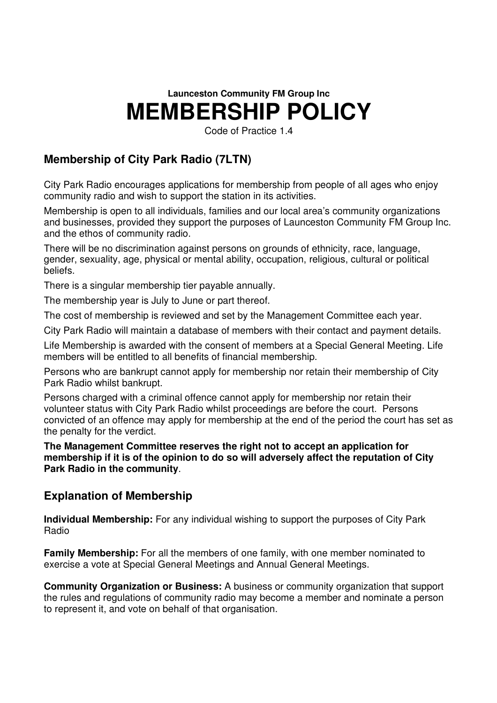# **Launceston Community FM Group Inc MEMBERSHIP POLICY**

Code of Practice 1.4

# **Membership of City Park Radio (7LTN)**

City Park Radio encourages applications for membership from people of all ages who enjoy community radio and wish to support the station in its activities.

Membership is open to all individuals, families and our local area's community organizations and businesses, provided they support the purposes of Launceston Community FM Group Inc. and the ethos of community radio.

There will be no discrimination against persons on grounds of ethnicity, race, language, gender, sexuality, age, physical or mental ability, occupation, religious, cultural or political beliefs.

There is a singular membership tier payable annually.

The membership year is July to June or part thereof.

The cost of membership is reviewed and set by the Management Committee each year.

City Park Radio will maintain a database of members with their contact and payment details.

Life Membership is awarded with the consent of members at a Special General Meeting. Life members will be entitled to all benefits of financial membership.

Persons who are bankrupt cannot apply for membership nor retain their membership of City Park Radio whilst bankrupt.

Persons charged with a criminal offence cannot apply for membership nor retain their volunteer status with City Park Radio whilst proceedings are before the court. Persons convicted of an offence may apply for membership at the end of the period the court has set as the penalty for the verdict.

**The Management Committee reserves the right not to accept an application for membership if it is of the opinion to do so will adversely affect the reputation of City Park Radio in the community**.

## **Explanation of Membership**

**Individual Membership:** For any individual wishing to support the purposes of City Park Radio

**Family Membership:** For all the members of one family, with one member nominated to exercise a vote at Special General Meetings and Annual General Meetings.

**Community Organization or Business:** A business or community organization that support the rules and regulations of community radio may become a member and nominate a person to represent it, and vote on behalf of that organisation.